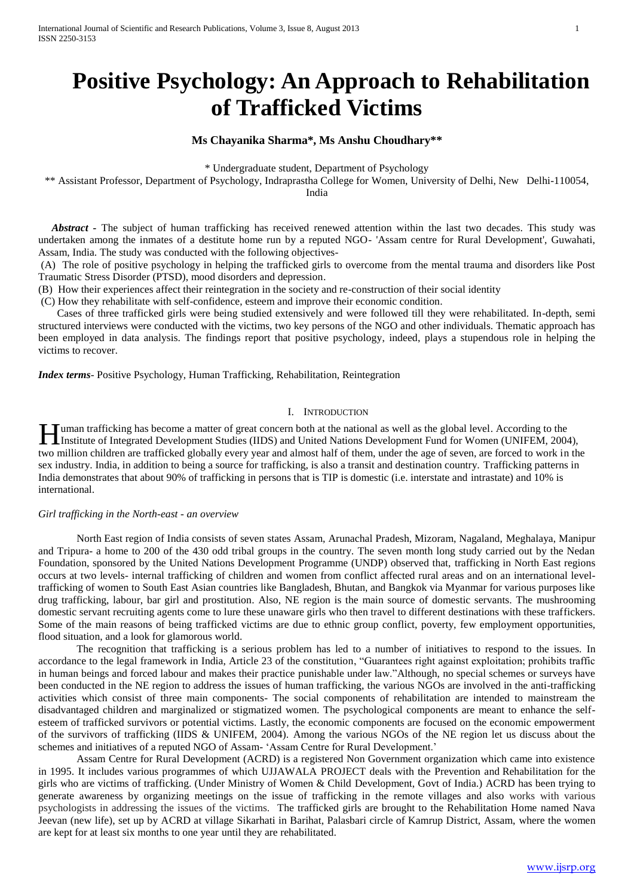# **Positive Psychology: An Approach to Rehabilitation of Trafficked Victims**

# **Ms Chayanika Sharma\*, Ms Anshu Choudhary\*\***

\* Undergraduate student, Department of Psychology

\*\* Assistant Professor, Department of Psychology, Indraprastha College for Women, University of Delhi, New Delhi-110054,

India

 *Abstract -* The subject of human trafficking has received renewed attention within the last two decades. This study was undertaken among the inmates of a destitute home run by a reputed NGO- 'Assam centre for Rural Development', Guwahati, Assam, India. The study was conducted with the following objectives-

(A) The role of positive psychology in helping the trafficked girls to overcome from the mental trauma and disorders like Post Traumatic Stress Disorder (PTSD), mood disorders and depression.

(B) How their experiences affect their reintegration in the society and re-construction of their social identity

(C) How they rehabilitate with self-confidence, esteem and improve their economic condition.

 Cases of three trafficked girls were being studied extensively and were followed till they were rehabilitated. In-depth, semi structured interviews were conducted with the victims, two key persons of the NGO and other individuals. Thematic approach has been employed in data analysis. The findings report that positive psychology, indeed, plays a stupendous role in helping the victims to recover.

*Index terms*- Positive Psychology, Human Trafficking, Rehabilitation, Reintegration

## I. INTRODUCTION

uman trafficking has become a matter of great concern both at the national as well as the global level. According to the Imstitute of Integrated Development Studies (IIDS) and United National as well as the global level. According to the Institute of Integrated Development Studies (IIDS) and United Nations Development Fund for Women (UNIFEM, two million children are trafficked globally every year and almost half of them, under the age of seven, are forced to work in the sex industry. India, in addition to being a source for trafficking, is also a transit and destination country. Trafficking patterns in India demonstrates that about 90% of trafficking in persons that is TIP is domestic (i.e. interstate and intrastate) and 10% is international.

## *Girl trafficking in the North-east - an overview*

North East region of India consists of seven states Assam, Arunachal Pradesh, Mizoram, Nagaland, Meghalaya, Manipur and Tripura- a home to 200 of the 430 odd tribal groups in the country. The seven month long study carried out by the Nedan Foundation, sponsored by the United Nations Development Programme (UNDP) observed that, trafficking in North East regions occurs at two levels- internal trafficking of children and women from conflict affected rural areas and on an international leveltrafficking of women to South East Asian countries like Bangladesh, Bhutan, and Bangkok via Myanmar for various purposes like drug trafficking, labour, bar girl and prostitution. Also, NE region is the main source of domestic servants. The mushrooming domestic servant recruiting agents come to lure these unaware girls who then travel to different destinations with these traffickers. Some of the main reasons of being trafficked victims are due to ethnic group conflict, poverty, few employment opportunities, flood situation, and a look for glamorous world.

 The recognition that trafficking is a serious problem has led to a number of initiatives to respond to the issues. In accordance to the legal framework in India, Article 23 of the constitution, "Guarantees right against exploitation; prohibits traffic in human beings and forced labour and makes their practice punishable under law."Although, no special schemes or surveys have been conducted in the NE region to address the issues of human trafficking, the various NGOs are involved in the anti-trafficking activities which consist of three main components- The social components of rehabilitation are intended to mainstream the disadvantaged children and marginalized or stigmatized women. The psychological components are meant to enhance the selfesteem of trafficked survivors or potential victims. Lastly, the economic components are focused on the economic empowerment of the survivors of trafficking (IIDS & UNIFEM, 2004). Among the various NGOs of the NE region let us discuss about the schemes and initiatives of a reputed NGO of Assam- 'Assam Centre for Rural Development.'

 Assam Centre for Rural Development (ACRD) is a registered Non Government organization which came into existence in 1995. It includes various programmes of which UJJAWALA PROJECT deals with the Prevention and Rehabilitation for the girls who are victims of trafficking. (Under Ministry of Women & Child Development, Govt of India.) ACRD has been trying to generate awareness by organizing meetings on the issue of trafficking in the remote villages and also works with various psychologists in addressing the issues of the victims. The trafficked girls are brought to the Rehabilitation Home named Nava Jeevan (new life), set up by ACRD at village Sikarhati in Barihat, Palasbari circle of Kamrup District, Assam, where the women are kept for at least six months to one year until they are rehabilitated.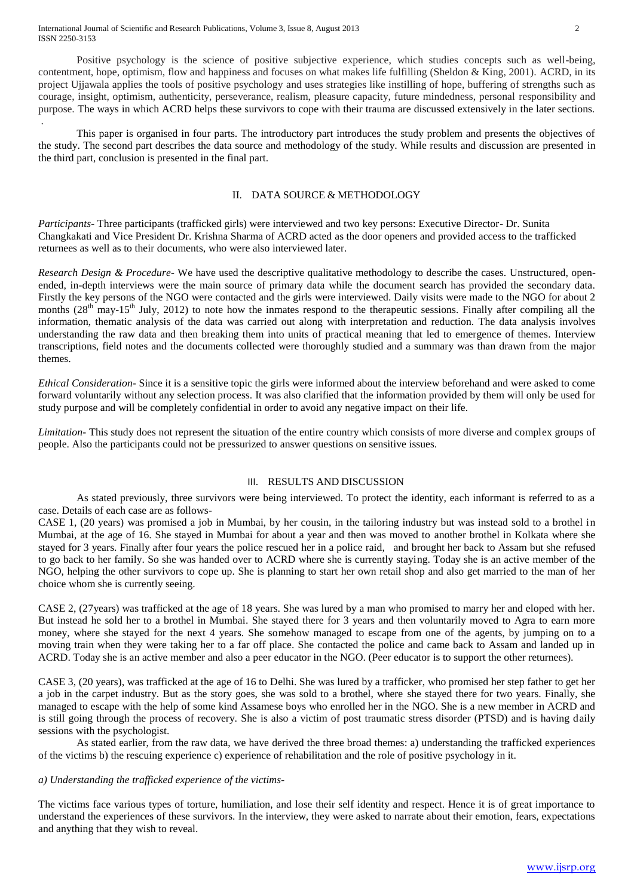International Journal of Scientific and Research Publications, Volume 3, Issue 8, August 2013 2 ISSN 2250-3153

.

 Positive psychology is the science of positive subjective experience, which studies concepts such as well-being, contentment, hope, optimism, flow and happiness and focuses on what makes life fulfilling (Sheldon & King, 2001). ACRD, in its project Ujjawala applies the tools of positive psychology and uses strategies like instilling of hope, buffering of strengths such as courage, insight, optimism, authenticity, perseverance, realism, pleasure capacity, future mindedness, personal responsibility and purpose. The ways in which ACRD helps these survivors to cope with their trauma are discussed extensively in the later sections.

 This paper is organised in four parts. The introductory part introduces the study problem and presents the objectives of the study. The second part describes the data source and methodology of the study. While results and discussion are presented in the third part, conclusion is presented in the final part.

## II. DATA SOURCE & METHODOLOGY

*Participants-* Three participants (trafficked girls) were interviewed and two key persons: Executive Director- Dr. Sunita Changkakati and Vice President Dr. Krishna Sharma of ACRD acted as the door openers and provided access to the trafficked returnees as well as to their documents, who were also interviewed later.

*Research Design & Procedure-* We have used the descriptive qualitative methodology to describe the cases. Unstructured, openended, in-depth interviews were the main source of primary data while the document search has provided the secondary data. Firstly the key persons of the NGO were contacted and the girls were interviewed. Daily visits were made to the NGO for about 2 months  $(28<sup>th</sup>$  may-15<sup>th</sup> July, 2012) to note how the inmates respond to the therapeutic sessions. Finally after compiling all the information, thematic analysis of the data was carried out along with interpretation and reduction. The data analysis involves understanding the raw data and then breaking them into units of practical meaning that led to emergence of themes. Interview transcriptions, field notes and the documents collected were thoroughly studied and a summary was than drawn from the major themes.

*Ethical Consideration-* Since it is a sensitive topic the girls were informed about the interview beforehand and were asked to come forward voluntarily without any selection process. It was also clarified that the information provided by them will only be used for study purpose and will be completely confidential in order to avoid any negative impact on their life.

*Limitation-* This study does not represent the situation of the entire country which consists of more diverse and complex groups of people. Also the participants could not be pressurized to answer questions on sensitive issues.

## III. RESULTS AND DISCUSSION

As stated previously, three survivors were being interviewed. To protect the identity, each informant is referred to as a case. Details of each case are as follows-

CASE 1, (20 years) was promised a job in Mumbai, by her cousin, in the tailoring industry but was instead sold to a brothel in Mumbai, at the age of 16. She stayed in Mumbai for about a year and then was moved to another brothel in Kolkata where she stayed for 3 years. Finally after four years the police rescued her in a police raid, and brought her back to Assam but she refused to go back to her family. So she was handed over to ACRD where she is currently staying. Today she is an active member of the NGO, helping the other survivors to cope up. She is planning to start her own retail shop and also get married to the man of her choice whom she is currently seeing.

CASE 2, (27years) was trafficked at the age of 18 years. She was lured by a man who promised to marry her and eloped with her. But instead he sold her to a brothel in Mumbai. She stayed there for 3 years and then voluntarily moved to Agra to earn more money, where she stayed for the next 4 years. She somehow managed to escape from one of the agents, by jumping on to a moving train when they were taking her to a far off place. She contacted the police and came back to Assam and landed up in ACRD. Today she is an active member and also a peer educator in the NGO. (Peer educator is to support the other returnees).

CASE 3, (20 years), was trafficked at the age of 16 to Delhi. She was lured by a trafficker, who promised her step father to get her a job in the carpet industry. But as the story goes, she was sold to a brothel, where she stayed there for two years. Finally, she managed to escape with the help of some kind Assamese boys who enrolled her in the NGO. She is a new member in ACRD and is still going through the process of recovery. She is also a victim of post traumatic stress disorder (PTSD) and is having daily sessions with the psychologist.

As stated earlier, from the raw data, we have derived the three broad themes: a) understanding the trafficked experiences of the victims b) the rescuing experience c) experience of rehabilitation and the role of positive psychology in it.

## *a) Understanding the trafficked experience of the victims-*

The victims face various types of torture, humiliation, and lose their self identity and respect. Hence it is of great importance to understand the experiences of these survivors. In the interview, they were asked to narrate about their emotion, fears, expectations and anything that they wish to reveal.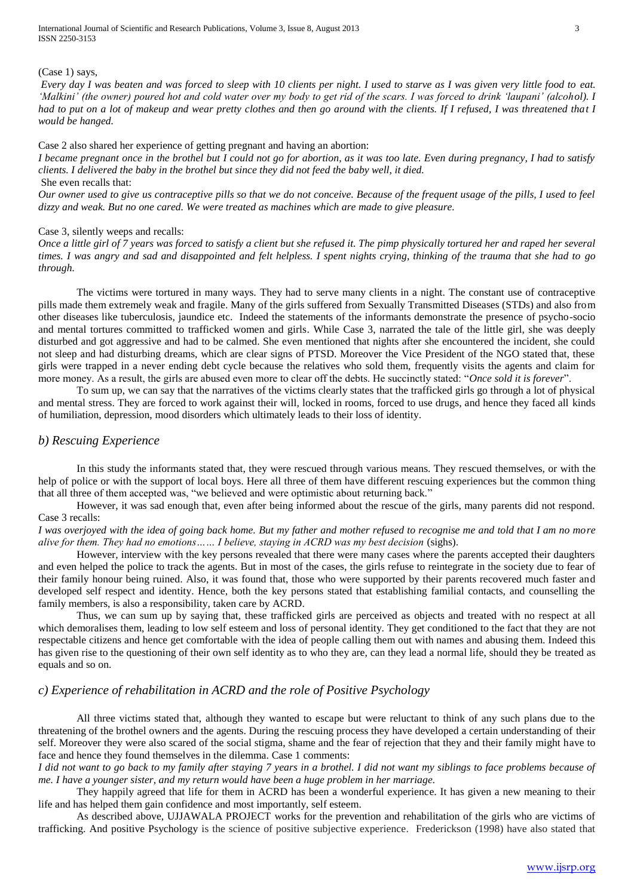International Journal of Scientific and Research Publications, Volume 3, Issue 8, August 2013 3 ISSN 2250-3153

#### (Case 1) says,

*Every day I was beaten and was forced to sleep with 10 clients per night. I used to starve as I was given very little food to eat. 'Malkini' (the owner) poured hot and cold water over my body to get rid of the scars. I was forced to drink 'laupani' (alcohol). I had to put on a lot of makeup and wear pretty clothes and then go around with the clients. If I refused, I was threatened that I would be hanged.* 

#### Case 2 also shared her experience of getting pregnant and having an abortion:

*I became pregnant once in the brothel but I could not go for abortion, as it was too late. Even during pregnancy, I had to satisfy clients. I delivered the baby in the brothel but since they did not feed the baby well, it died.* She even recalls that:

*Our owner used to give us contraceptive pills so that we do not conceive. Because of the frequent usage of the pills, I used to feel dizzy and weak. But no one cared. We were treated as machines which are made to give pleasure.*

#### Case 3, silently weeps and recalls:

*Once a little girl of 7 years was forced to satisfy a client but she refused it. The pimp physically tortured her and raped her several times. I was angry and sad and disappointed and felt helpless. I spent nights crying, thinking of the trauma that she had to go through.*

The victims were tortured in many ways*.* They had to serve many clients in a night. The constant use of contraceptive pills made them extremely weak and fragile. Many of the girls suffered from Sexually Transmitted Diseases (STDs) and also from other diseases like tuberculosis, jaundice etc. Indeed the statements of the informants demonstrate the presence of psycho-socio and mental tortures committed to trafficked women and girls. While Case 3, narrated the tale of the little girl, she was deeply disturbed and got aggressive and had to be calmed. She even mentioned that nights after she encountered the incident, she could not sleep and had disturbing dreams, which are clear signs of PTSD. Moreover the Vice President of the NGO stated that, these girls were trapped in a never ending debt cycle because the relatives who sold them, frequently visits the agents and claim for more money. As a result, the girls are abused even more to clear off the debts. He succinctly stated: "*Once sold it is forever*".

To sum up, we can say that the narratives of the victims clearly states that the trafficked girls go through a lot of physical and mental stress. They are forced to work against their will, locked in rooms, forced to use drugs, and hence they faced all kinds of humiliation, depression, mood disorders which ultimately leads to their loss of identity.

# *b) Rescuing Experience*

In this study the informants stated that, they were rescued through various means. They rescued themselves, or with the help of police or with the support of local boys. Here all three of them have different rescuing experiences but the common thing that all three of them accepted was, "we believed and were optimistic about returning back."

However, it was sad enough that, even after being informed about the rescue of the girls, many parents did not respond. Case 3 recalls:

*I was overjoyed with the idea of going back home. But my father and mother refused to recognise me and told that I am no more alive for them. They had no emotions…… I believe, staying in ACRD was my best decision* (sighs).

However, interview with the key persons revealed that there were many cases where the parents accepted their daughters and even helped the police to track the agents. But in most of the cases, the girls refuse to reintegrate in the society due to fear of their family honour being ruined. Also, it was found that, those who were supported by their parents recovered much faster and developed self respect and identity. Hence, both the key persons stated that establishing familial contacts, and counselling the family members, is also a responsibility, taken care by ACRD.

Thus, we can sum up by saying that, these trafficked girls are perceived as objects and treated with no respect at all which demoralises them, leading to low self esteem and loss of personal identity. They get conditioned to the fact that they are not respectable citizens and hence get comfortable with the idea of people calling them out with names and abusing them. Indeed this has given rise to the questioning of their own self identity as to who they are, can they lead a normal life, should they be treated as equals and so on.

## *c) Experience of rehabilitation in ACRD and the role of Positive Psychology*

All three victims stated that, although they wanted to escape but were reluctant to think of any such plans due to the threatening of the brothel owners and the agents. During the rescuing process they have developed a certain understanding of their self. Moreover they were also scared of the social stigma, shame and the fear of rejection that they and their family might have to face and hence they found themselves in the dilemma. Case 1 comments:

*I did not want to go back to my family after staying 7 years in a brothel. I did not want my siblings to face problems because of me. I have a younger sister, and my return would have been a huge problem in her marriage.*

 They happily agreed that life for them in ACRD has been a wonderful experience. It has given a new meaning to their life and has helped them gain confidence and most importantly, self esteem.

As described above, UJJAWALA PROJECT works for the prevention and rehabilitation of the girls who are victims of trafficking. And positive Psychology is the science of positive subjective experience. Frederickson (1998) have also stated that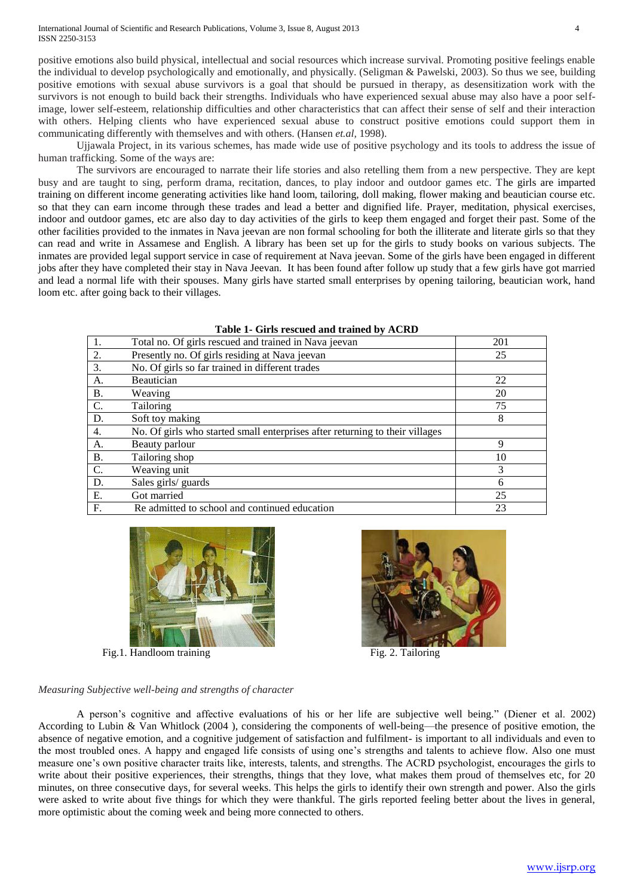International Journal of Scientific and Research Publications, Volume 3, Issue 8, August 2013 4 ISSN 2250-3153

positive emotions also build physical, intellectual and social resources which increase survival. Promoting positive feelings enable the individual to develop psychologically and emotionally, and physically. (Seligman & Pawelski, 2003). So thus we see, building positive emotions with sexual abuse survivors is a goal that should be pursued in therapy, as desensitization work with the survivors is not enough to build back their strengths. Individuals who have experienced sexual abuse may also have a poor selfimage, lower self-esteem, relationship difficulties and other characteristics that can affect their sense of self and their interaction with others. Helping clients who have experienced sexual abuse to construct positive emotions could support them in communicating differently with themselves and with others. (Hansen *et.al,* 1998).

Ujjawala Project, in its various schemes, has made wide use of positive psychology and its tools to address the issue of human trafficking. Some of the ways are:

The survivors are encouraged to narrate their life stories and also retelling them from a new perspective. They are kept busy and are taught to sing, perform drama, recitation, dances, to play indoor and outdoor games etc. The girls are imparted training on different income generating activities like hand loom, tailoring, doll making, flower making and beautician course etc. so that they can earn income through these trades and lead a better and dignified life. Prayer, meditation, physical exercises, indoor and outdoor games, etc are also day to day activities of the girls to keep them engaged and forget their past. Some of the other facilities provided to the inmates in Nava jeevan are non formal schooling for both the illiterate and literate girls so that they can read and write in Assamese and English. A library has been set up for the girls to study books on various subjects. The inmates are provided legal support service in case of requirement at Nava jeevan. Some of the girls have been engaged in different jobs after they have completed their stay in Nava Jeevan. It has been found after follow up study that a few girls have got married and lead a normal life with their spouses. Many girls have started small enterprises by opening tailoring, beautician work, hand loom etc. after going back to their villages.

| Table 1- On is research and trained by ACRD |                                                                              |     |  |  |  |
|---------------------------------------------|------------------------------------------------------------------------------|-----|--|--|--|
|                                             | Total no. Of girls rescued and trained in Nava jeevan                        | 201 |  |  |  |
| 2.                                          | Presently no. Of girls residing at Nava jeevan                               | 25  |  |  |  |
| 3.                                          | No. Of girls so far trained in different trades                              |     |  |  |  |
| А.                                          | Beautician                                                                   | 22  |  |  |  |
| <b>B.</b>                                   | Weaving                                                                      | 20  |  |  |  |
| C.                                          | Tailoring                                                                    | 75  |  |  |  |
| D.                                          | Soft toy making                                                              | 8   |  |  |  |
| 4.                                          | No. Of girls who started small enterprises after returning to their villages |     |  |  |  |
| A.                                          | Beauty parlour                                                               | 9   |  |  |  |
| <b>B.</b>                                   | Tailoring shop                                                               | 10  |  |  |  |
| C.                                          | Weaving unit                                                                 | 3   |  |  |  |
| D.                                          | Sales girls/ guards                                                          | 6   |  |  |  |
| Ε.                                          | Got married                                                                  | 25  |  |  |  |
| F.                                          | Re admitted to school and continued education                                | 23  |  |  |  |

| Table 1- Girls rescued and trained by ACRD |  |  |  |  |
|--------------------------------------------|--|--|--|--|
|--------------------------------------------|--|--|--|--|



Fig. 1. Handloom training Fig. 2. Tailoring Fig. 2. Tailoring



#### *Measuring Subjective well-being and strengths of character*

A person's cognitive and affective evaluations of his or her life are subjective well being." (Diener et al. 2002) According to Lubin & Van Whitlock (2004 ), considering the components of well-being—the presence of positive emotion, the absence of negative emotion, and a cognitive judgement of satisfaction and fulfilment- is important to all individuals and even to the most troubled ones. A happy and engaged life consists of using one's strengths and talents to achieve flow. Also one must measure one's own positive character traits like, interests, talents, and strengths. The ACRD psychologist, encourages the girls to write about their positive experiences, their strengths, things that they love, what makes them proud of themselves etc, for 20 minutes, on three consecutive days, for several weeks. This helps the girls to identify their own strength and power. Also the girls were asked to write about five things for which they were thankful. The girls reported feeling better about the lives in general, more optimistic about the coming week and being more connected to others.